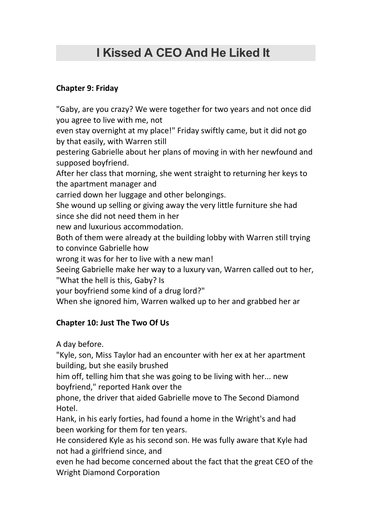## **I [Kissed](https://cssreader.com/i-kissed-a-ceo-and-he-liked-it-by-lilhyz-pdf-free-download/) A CEO And He Liked It**

## **Chapter 9: Friday**

"Gaby, are you crazy? We were together for two years and not once did you agree to live with me, not

even stay overnight at my place!" Friday swiftly came, but it did not go by that easily, with Warren still

pestering Gabrielle about her plans of moving in with her newfound and supposed boyfriend.

After her class that morning, she went straight to returning her keys to the apartment manager and

carried down her luggage and other belongings.

She wound up selling or giving away the very little furniture she had since she did not need them in her

new and luxurious accommodation.

Both of them were already at the building lobby with Warren still trying to convince Gabrielle how

wrong it was for her to live with a new man!

Seeing Gabrielle make her way to a luxury van, Warren called out to her, "What the hell is this, Gaby? Is

your boyfriend some kind of a drug lord?"

When she ignored him, Warren walked up to her and grabbed her ar

## **Chapter 10:Just The Two Of Us**

A day before.

"Kyle, son, Miss Taylor had an encounter with her ex at her apartment building, but she easily brushed

him off, telling him that she was going to be living with her... new boyfriend," reported Hank over the

phone, the driver that aided Gabrielle move to The Second Diamond Hotel.

Hank, in his early forties, had found a home in the Wright's and had been working for them for ten years.

He considered Kyle as his second son. He was fully aware that Kyle had not had a girlfriend since, and

even he had become concerned about the fact that the great CEO of the Wright Diamond Corporation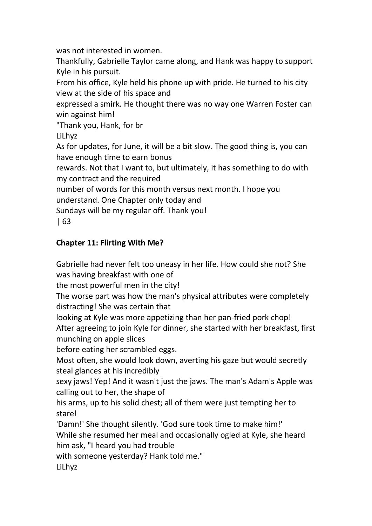was not interested in women.

Thankfully, Gabrielle Taylor came along, and Hank was happy to support Kyle in his pursuit.

From his office, Kyle held his phone up with pride. He turned to his city view at the side of his space and

expressed a smirk. He thought there was no way one Warren Foster can win against him!

"Thank you, Hank, for br

LiLhyz

As for updates, for June, it will be a bit slow. The good thing is, you can have enough time to earn bonus

rewards. Not that I want to, but ultimately, it has something to do with my contract and the required

number of words for this month versus next month. I hope you understand. One Chapter only today and

Sundays will be my regular off. Thank you!

| 63

## **Chapter 11: Flirting With Me?**

Gabrielle had never felt too uneasy in her life. How could she not? She was having breakfast with one of

the most powerful men in the city!

The worse part was how the man's physical attributes were completely distracting! She was certain that

looking at Kyle was more appetizing than her pan-fried pork chop! After agreeing to join Kyle for dinner, she started with her breakfast, first munching on apple slices

before eating her scrambled eggs.

Most often, she would look down, averting his gaze but would secretly steal glances at his incredibly

sexy jaws!Yep! And it wasn't just the jaws. The man's Adam's Apple was calling out to her, the shape of

his arms, up to his solid chest; all of them were just tempting her to stare!

'Damn!' She thought silently. 'God sure took time to make him!' While she resumed her meal and occasionally ogled at Kyle, she heard him ask, "I heard you had trouble

with someone yesterday? Hank told me."

LiLhyz